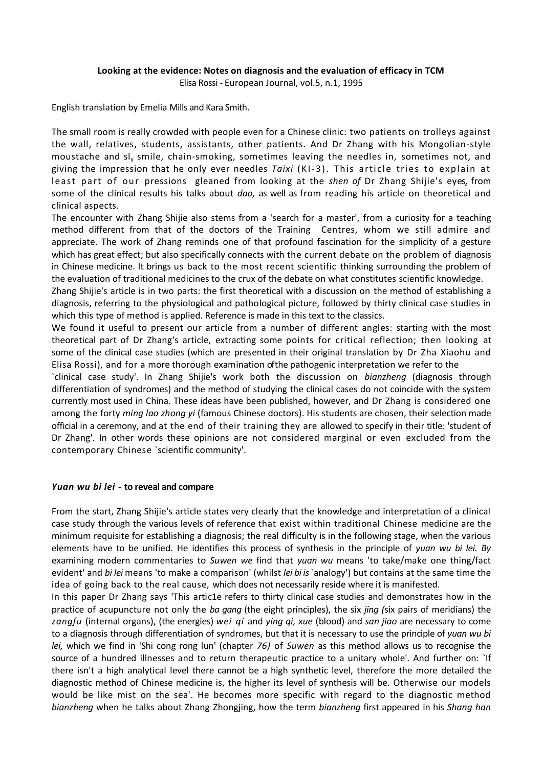### **Looking at the evidence: Notes on diagnosis and the evaluation of efficacy in TCM**

Elisa Rossi - European Journal, vol.5, n.1, 1995

English translation by Emelia Mills and Kara Smith.

The small room is really crowded with people even for a Chinese clinic: two patients on trolleys against the wall, relatives, students, assistants, other patients. And Dr Zhang with his Mongolian-style moustache and sl<sup>y</sup> smile, chain-smoking, sometimes leaving the needles in, sometimes not, and giving the impression that he only ever needles *Taixi* (KI-3). This article tries to explain at least part of our pressions gleaned from looking at the *shen of* Dr Zhang Shijie's eyes, from some of the clinical results his talks about *dao,* as well as from reading his article on theoretical and clinical aspects.

The encounter with Zhang Shijie also stems from a 'search for a master', from a curiosity for a teaching method different from that of the doctors of the Training Centres, whom we still admire and appreciate. The work of Zhang reminds one of that profound fascination for the simplicity of a gesture which has great effect; but also specifically connects with the current debate on the problem of diagnosis in Chinese medicine. It brings us back to the most recent scientific thinking surrounding the problem of the evaluation of traditional medicines to the crux of the debate on what constitutes scientific knowledge.

Zhang Shijie's article is in two parts: the first theoretical with a discussion on the method of establishing a diagnosis, referring to the physiological and pathological picture, followed by thirty clinical case studies in which this type of method is applied. Reference is made in this text to the classics.

We found it useful to present our article from a number of different angles: starting with the most theoretical part of Dr Zhang's article, extracting some points for critical reflection; then looking at some of the clinical case studies (which are presented in their original translation by Dr Zha Xiaohu and Elisa Rossi), and for a more thorough examination of the pathogenic interpretation we refer to the

`clinical case study'. In Zhang Shijie's work both the discussion on *bianzheng* (diagnosis through differentiation of syndromes) and the method of studying the clinical cases do not coincide with the system currently most used in China. These ideas have been published, however, and Dr Zhang is considered one among the forty *ming lao zhong yi* (famous Chinese doctors). His students are chosen, their selection made official in a ceremony, and at the end of their training they are allowed to specify in their title: 'student of Dr Zhang'. In other words these opinions are not considered marginal or even excluded from the contemporary Chinese `scientific community'.

### *Yuan wu bi lei -* **to reveal and compare**

From the start, Zhang Shijie's article states very clearly that the knowledge and interpretation of a clinical case study through the various levels of reference that exist within traditional Chinese medicine are the minimum requisite for establishing a diagnosis; the real difficulty is in the following stage, when the various elements have to be unified. He identifies this process of synthesis in the principle of *yuan wu bi lei. By*  examining modern commentaries to *Suwen we* find that *yuan wu* means 'to take/make one thing/fact evident' and *bi lei* means 'to make a comparison' (whilst *lei bi is* `analogy') but contains at the same time the idea of going back to the real cause, which does not necessarily reside where it is manifested.

In this paper Dr Zhang says 'This artic1e refers to thirty clinical case studies and demonstrates how in the practice of acupuncture not only the *ba gang* (the eight principles), the six *jing (*six pairs of meridians) the *zangfu* (internal organs), (the energies) *wei qi* and *ying qi, xue* (blood) and *san jiao* are necessary to come to a diagnosis through differentiation of syndromes, but that it is necessary to use the principle of *yuan wu bi lei,* which we find in 'Shi cong rong lun' (chapter *76)* of *Suwen* as this method allows us to recognise the source of a hundred illnesses and to return therapeutic practice to a unitary whole'. And further on: `If there isn't a high analytical level there cannot be a high synthetic level, therefore the more detailed the diagnostic method of Chinese medicine is, the higher its level of synthesis will be. Otherwise our models would be like mist on the sea'. He becomes more specific with regard to the diagnostic method *bianzheng* when he talks about Zhang Zhongjing, how the term *bianzheng* first appeared in his *Shang han*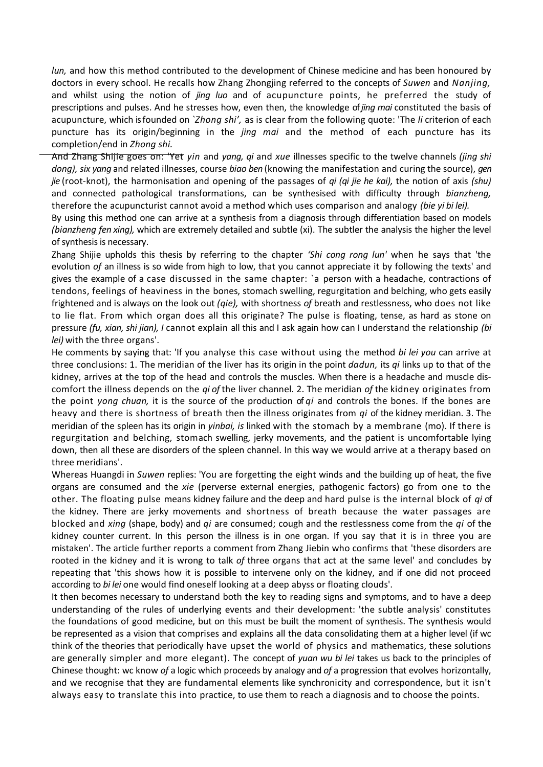*lun*, and how this method contributed to the development of Chinese medicine and has been honoured by doctors in every school. He recalls how Zhang Zhongjing referred to the concepts of *Suwen* and *Nanjing,*  and whilst using the notion of *jing luo* and of acupuncture points, he preferred the study of prescriptions and pulses. And he stresses how, even then, the knowledge of *jing mai* constituted the basis of acupuncture, which is founded on *`Zhong shi',* as is clear from the following quote: 'The *li* criterion of each puncture has its origin/beginning in the *jing mai* and the method of each puncture has its completion/end in *Zhong shi.*

And Zhang Shijie goes on: 'Yet *yin* and *yang, qi* and *xue* illnesses specific to the twelve channels *(jing shi dong), six yang* and related illnesses, course *biao ben* (knowing the manifestation and curing the source), *gen jie* (root-knot), the harmonisation and opening of the passages of *qi (qi jie he kai),* the notion of axis *(shu)*  and connected pathological transformations, can be synthesised with difficulty through *bianzheng,*  therefore the acupuncturist cannot avoid a method which uses comparison and analogy *(bie yi bi lei).*

By using this method one can arrive at a synthesis from a diagnosis through differentiation based on models *(bianzheng fen xing),* which are extremely detailed and subtle (xi). The subtler the analysis the higher the level of synthesis is necessary.

Zhang Shijie upholds this thesis by referring to the chapter *'Shi cong rong lun'* when he says that 'the evolution *of* an illness is so wide from high to low, that you cannot appreciate it by following the texts' and gives the example of a case discussed in the same chapter: `a person with a headache, contractions of tendons, feelings of heaviness in the bones, stomach swelling, regurgitation and belching, who gets easily frightened and is always on the look out *(qie),* with shortness *of* breath and restlessness, who does not like to lie flat. From which organ does all this originate? The pulse is floating, tense, as hard as stone on pressure *(fu, xian, shi jian), I* cannot explain all this and I ask again how can I understand the relationship *(bi lei)* with the three organs'.

He comments by saying that: 'If you analyse this case without using the method *bi lei you* can arrive at three conclusions: 1. The meridian of the liver has its origin in the point *dadun,* its *qi* links up to that of the kidney, arrives at the top of the head and controls the muscles. When there is a headache and muscle discomfort the illness depends on the *qi of* the liver channel. 2. The meridian *of* the kidney originates from the point *yong chuan,* it is the source of the production of *qi* and controls the bones. If the bones are heavy and there is shortness of breath then the illness originates from *qi* of the kidney meridian. 3. The meridian of the spleen has its origin in *yinbai, is* linked with the stomach by a membrane (mo). If there is regurgitation and belching, stomach swelling, jerky movements, and the patient is uncomfortable lying down, then all these are disorders of the spleen channel. In this way we would arrive at a therapy based on three meridians'.

Whereas Huangdi in *Suwen* replies: 'You are forgetting the eight winds and the building up of heat, the five organs are consumed and the *xie* (perverse external energies, pathogenic factors) go from one to the other. The floating pulse means kidney failure and the deep and hard pulse is the internal block of *qi* of the kidney. There are jerky movements and shortness of breath because the water passages are blocked and *xing* (shape, body) and *qi* are consumed; cough and the restlessness come from the *qi* of the kidney counter current. In this person the illness is in one organ. If you say that it is in three you are mistaken'. The article further reports a comment from Zhang Jiebin who confirms that 'these disorders are rooted in the kidney and it is wrong to talk *of* three organs that act at the same level' and concludes by repeating that 'this shows how it is possible to intervene only on the kidney, and if one did not proceed according to *bi lei* one would find oneself looking at a deep abyss or floating clouds'.

It then becomes necessary to understand both the key to reading signs and symptoms, and to have a deep understanding of the rules of underlying events and their development: 'the subtle analysis' constitutes the foundations of good medicine, but on this must be built the moment of synthesis. The synthesis would be represented as a vision that comprises and explains all the data consolidating them at a higher level (if wc think of the theories that periodically have upset the world of physics and mathematics, these solutions are generally simpler and more elegant). The concept of *yuan wu bi lei* takes us back to the principles of Chinese thought: wc know *of* a logic which proceeds by analogy and *of* a progression that evolves horizontally, and we recognise that they are fundamental elements like synchronicity and correspondence, but it isn't always easy to translate this into practice, to use them to reach a diagnosis and to choose the points.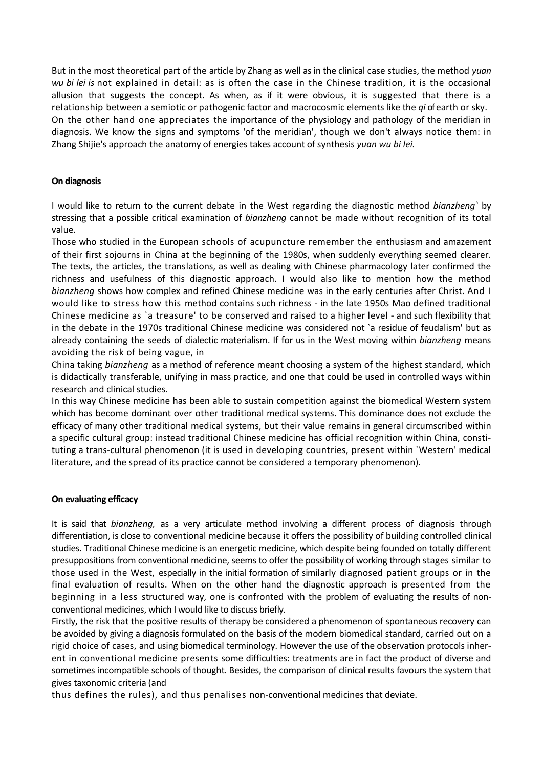But in the most theoretical part of the article by Zhang as well as in the clinical case studies, the method *yuan wu bi lei is* not explained in detail: as is often the case in the Chinese tradition, it is the occasional allusion that suggests the concept. As when, as if it were obvious, it is suggested that there is a relationship between a semiotic or pathogenic factor and macrocosmic elements like the *qi* of earth or sky. On the other hand one appreciates the importance of the physiology and pathology of the meridian in diagnosis. We know the signs and symptoms 'of the meridian', though we don't always notice them: in Zhang Shijie's approach the anatomy of energies takes account of synthesis *yuan wu bi lei.*

# **On diagnosis**

I would like to return to the current debate in the West regarding the diagnostic method *bianzheng`* by stressing that a possible critical examination of *bianzheng* cannot be made without recognition of its total value.

Those who studied in the European schools of acupuncture remember the enthusiasm and amazement of their first sojourns in China at the beginning of the 1980s, when suddenly everything seemed clearer. The texts, the articles, the translations, as well as dealing with Chinese pharmacology later confirmed the richness and usefulness of this diagnostic approach. I would also like to mention how the method *bianzheng* shows how complex and refined Chinese medicine was in the early centuries after Christ. And I would like to stress how this method contains such richness - in the late 1950s Mao defined traditional Chinese medicine as `a treasure' to be conserved and raised to a higher level - and such flexibility that in the debate in the 1970s traditional Chinese medicine was considered not 'a residue of feudalism' but as already containing the seeds of dialectic materialism. If for us in the West moving within *bianzheng* means avoiding the risk of being vague, in

China taking *bianzheng* as a method of reference meant choosing a system of the highest standard, which is didactically transferable, unifying in mass practice, and one that could be used in controlled ways within research and clinical studies.

In this way Chinese medicine has been able to sustain competition against the biomedical Western system which has become dominant over other traditional medical systems. This dominance does not exclude the efficacy of many other traditional medical systems, but their value remains in general circumscribed within a specific cultural group: instead traditional Chinese medicine has official recognition within China, constituting a trans-cultural phenomenon (it is used in developing countries, present within `Western' medical literature, and the spread of its practice cannot be considered a temporary phenomenon).

# **On evaluating efficacy**

It is said that *bianzheng,* as a very articulate method involving a different process of diagnosis through differentiation, is close to conventional medicine because it offers the possibility of building controlled clinical studies. Traditional Chinese medicine is an energetic medicine, which despite being founded on totally different presuppositions from conventional medicine, seems to offer the possibility of working through stages similar to those used in the West, especially in the initial formation of similarly diagnosed patient groups or in the final evaluation of results. When on the other hand the diagnostic approach is presented from the beginning in a less structured way, one is confronted with the problem of evaluating the results of nonconventional medicines, which I would like to discuss briefly.

Firstly, the risk that the positive results of therapy be considered a phenomenon of spontaneous recovery can be avoided by giving a diagnosis formulated on the basis of the modern biomedical standard, carried out on a rigid choice of cases, and using biomedical terminology. However the use of the observation protocols inherent in conventional medicine presents some difficulties: treatments are in fact the product of diverse and sometimes incompatible schools of thought. Besides, the comparison of clinical results favours the system that gives taxonomic criteria (and

thus defines the rules), and thus penalises non-conventional medicines that deviate.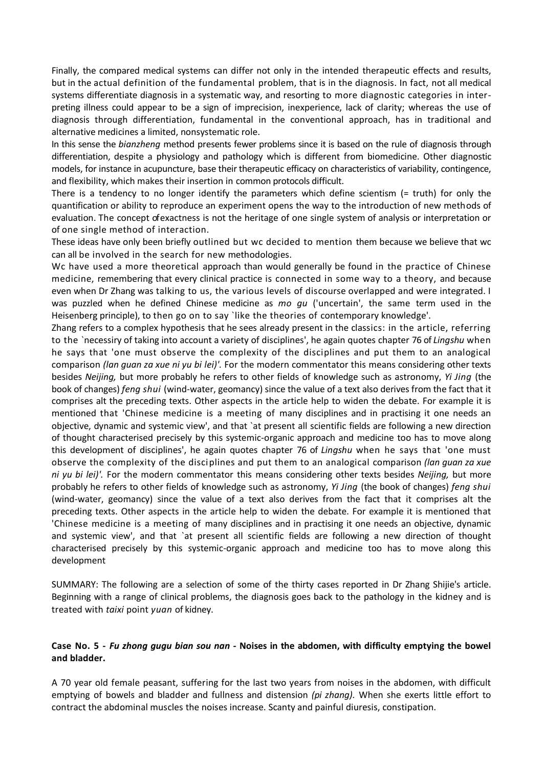Finally, the compared medical systems can differ not only in the intended therapeutic effects and results, but in the actual definition of the fundamental problem, that is in the diagnosis. In fact, not all medical systems differentiate diagnosis in a systematic way, and resorting to more diagnostic categories in interpreting illness could appear to be a sign of imprecision, inexperience, lack of clarity; whereas the use of diagnosis through differentiation, fundamental in the conventional approach, has in traditional and alternative medicines a limited, nonsystematic role.

In this sense the *bianzheng* method presents fewer problems since it is based on the rule of diagnosis through differentiation, despite a physiology and pathology which is different from biomedicine. Other diagnostic models, for instance in acupuncture, base their therapeutic efficacy on characteristics of variability, contingence, and flexibility, which makes their insertion in common protocols difficult.

There is a tendency to no longer identify the parameters which define scientism (= truth) for only the quantification or ability to reproduce an experiment opens the way to the introduction of new methods of evaluation. The concept of exactness is not the heritage of one single system of analysis or interpretation or of one single method of interaction.

These ideas have only been briefly outlined but wc decided to mention them because we believe that wc can all be involved in the search for new methodologies.

Wc have used a more theoretical approach than would generally be found in the practice of Chinese medicine, remembering that every clinical practice is connected in some way to a theory, and because even when Dr Zhang was talking to us, the various levels of discourse overlapped and were integrated. I was puzzled when he defined Chinese medicine as *mo gu* ('uncertain', the same term used in the Heisenberg principle), to then go on to say `like the theories of contemporary knowledge'.

Zhang refers to a complex hypothesis that he sees already present in the classics: in the article, referring to the `necessiry of taking into account a variety of disciplines', he again quotes chapter 76 of *Lingshu* when he says that 'one must observe the complexity of the disciplines and put them to an analogical comparison *(lan guan za xue ni yu bi lei)'.* For the modern commentator this means considering other texts besides *Neijing,* but more probably he refers to other fields of knowledge such as astronomy, *Yi Jing* (the book of changes) *feng shui* (wind-water, geomancy) since the value of a text also derives from the fact that it comprises alt the preceding texts. Other aspects in the article help to widen the debate. For example it is mentioned that 'Chinese medicine is a meeting of many disciplines and in practising it one needs an objective, dynamic and systemic view', and that `at present all scientific fields are following a new direction of thought characterised precisely by this systemic-organic approach and medicine too has to move along this development of disciplines', he again quotes chapter 76 of *Lingshu* when he says that 'one must observe the complexity of the disciplines and put them to an analogical comparison *(lan guan za xue ni yu bi lei)'.* For the modern commentator this means considering other texts besides *Neijing,* but more probably he refers to other fields of knowledge such as astronomy, *Yi Jing* (the book of changes) *feng shui*  (wind-water, geomancy) since the value of a text also derives from the fact that it comprises alt the preceding texts. Other aspects in the article help to widen the debate. For example it is mentioned that 'Chinese medicine is a meeting of many disciplines and in practising it one needs an objective, dynamic and systemic view', and that `at present all scientific fields are following a new direction of thought characterised precisely by this systemic-organic approach and medicine too has to move along this development

SUMMARY: The following are a selection of some of the thirty cases reported in Dr Zhang Shijie's article. Beginning with a range of clinical problems, the diagnosis goes back to the pathology in the kidney and is treated with *taixi* point *yuan* of kidney.

# **Case No. 5 -** *Fu zhong gugu bian sou nan -* **Noises in the abdomen, with difficulty emptying the bowel and bladder.**

A 70 year old female peasant, suffering for the last two years from noises in the abdomen, with difficult emptying of bowels and bladder and fullness and distension *(pi zhang).* When she exerts little effort to contract the abdominal muscles the noises increase. Scanty and painful diuresis, constipation.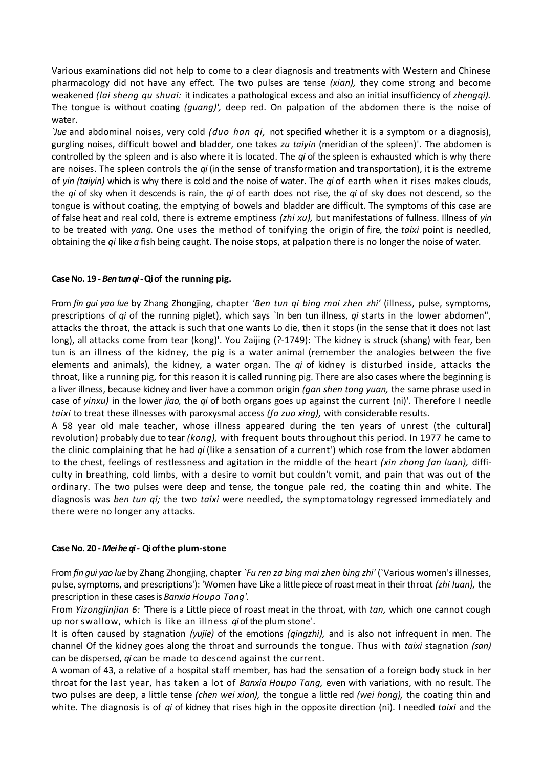Various examinations did not help to come to a clear diagnosis and treatments with Western and Chinese pharmacology did not have any effect. The two pulses are tense *(xian),* they come strong and become weakened *(lai sheng qu shuai:* it indicates a pathological excess and also an initial insufficiency of *zhengqi).*  The tongue is without coating *(guang)',* deep red. On palpation of the abdomen there is the noise of water.

*`Jue* and abdominal noises, very cold *(duo han qi,* not specified whether it is a symptom or a diagnosis), gurgling noises, difficult bowel and bladder, one takes *zu taiyin* (meridian of the spleen)'. The abdomen is controlled by the spleen and is also where it is located. The *qi* of the spleen is exhausted which is why there are noises. The spleen controls the *qi* (in the sense of transformation and transportation), it is the extreme of *yin (taiyin)* which is why there is cold and the noise of water. The *qi* of earth when it rises makes clouds, the *qi* of sky when it descends is rain, the *qi* of earth does not rise, the *qi* of sky does not descend, so the tongue is without coating, the emptying of bowels and bladder are difficult. The symptoms of this case are of false heat and real cold, there is extreme emptiness *(zhi xu),* but manifestations of fullness. Illness of *yin*  to be treated with *yang.* One uses the method of tonifying the origin of fire, the *taixi* point is needled, obtaining the *qi* like *a* fish being caught. The noise stops, at palpation there is no longer the noise of water.

# **Case No. 19 -** *Ben tun qi -***Qi of****the running pig.**

From *fin gui yao lue* by Zhang Zhongjing, chapter *'Ben tun qi bing mai zhen zhi'* (illness, pulse, symptoms, prescriptions of *qi* of the running piglet), which says `In ben tun illness, *qi* starts in the lower abdomen", attacks the throat, the attack is such that one wants Lo die, then it stops (in the sense that it does not last long), all attacks come from tear (kong)'. You Zaijing (?-1749): `The kidney is struck (shang) with fear, ben tun is an illness of the kidney, the pig is a water animal (remember the analogies between the five elements and animals), the kidney, a water organ. The *qi* of kidney is disturbed inside, attacks the throat, like a running pig, for this reason it is called running pig. There are also cases where the beginning is a liver illness, because kidney and liver have a common origin *(gan shen tong yuan,* the same phrase used in case of *yinxu)* in the lower *jiao,* the *qi* of both organs goes up against the current (ni)'. Therefore I needle *taixi* to treat these illnesses with paroxysmal access *(fa zuo xing),* with considerable results.

A 58 year old male teacher, whose illness appeared during the ten years of unrest (the cultural] revolution) probably due to tear *(kong),* with frequent bouts throughout this period. In 1977 he came to the clinic complaining that he had *qi* (like a sensation of a current') which rose from the lower abdomen to the chest, feelings of restlessness and agitation in the middle of the heart *(xin zhong fan luan),* difficulty in breathing, cold limbs, with a desire to vomit but couldn't vomit, and pain that was out of the ordinary. The two pulses were deep and tense, the tongue pale red, the coating thin and white. The diagnosis was *ben tun qi;* the two *taixi* were needled, the symptomatology regressed immediately and there were no longer any attacks.

# **Case No. 20 -** *Mei he qi -* **Qi ofthe plum-stone**

From *fin gui yao lue* by Zhang Zhongjing, chapter *`Fu ren za bing mai zhen bing zhi'* (`Various women's illnesses, pulse, symptoms, and prescriptions'): 'Women have Like a little piece of roast meat in their throat *(zhi luan),* the prescription in these cases is *Banxia Houpo Tang'.*

From *Yizongjinjian 6:* 'There is a Little piece of roast meat in the throat, with *tan,* which one cannot cough up nor swallow, which is like an illness *qi* of the plum stone'.

It is often caused by stagnation *(yujie)* of the emotions *(qingzhi),* and is also not infrequent in men. The channel Of the kidney goes along the throat and surrounds the tongue. Thus with *taixi* stagnation *(san)*  can be dispersed, *qi* can be made to descend against the current.

A woman of 43, a relative of a hospital staff member, has had the sensation of a foreign body stuck in her throat for the last year, has taken a lot of *Banxia Houpo Tang,* even with variations, with no result. The two pulses are deep, a little tense *(chen wei xian),* the tongue a little red *(wei hong),* the coating thin and white. The diagnosis is of *qi* of kidney that rises high in the opposite direction (ni). I needled *taixi* and the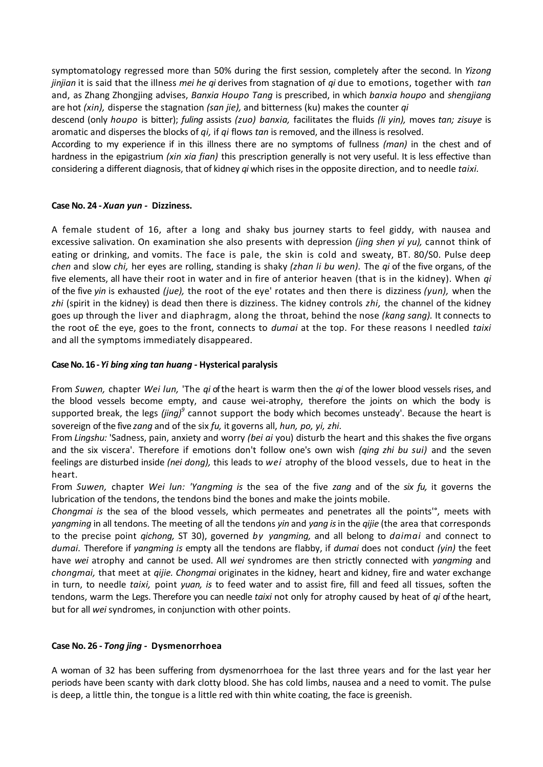symptomatology regressed more than 50% during the first session, completely after the second. In *Yizong jinjian* it is said that the illness *mei he qi* derives from stagnation of *qi* due to emotions, together with *tan*  and, as Zhang Zhongjing advises, *Banxia Houpo Tang* is prescribed, in which *banxia houpo* and *shengjiang*  are hot *(xin),* disperse the stagnation *(san jie),* and bitterness (ku) makes the counter *qi*

descend (only *houpo* is bitter); *fuling* assists *(zuo) banxia,* facilitates the fluids *(li yin),* moves *tan; zisuye* is aromatic and disperses the blocks of *qi,* if *qi* flows *tan* is removed, and the illness is resolved.

According to my experience if in this illness there are no symptoms of fullness *(man)* in the chest and of hardness in the epigastrium *(xin xia fian)* this prescription generally is not very useful. It is less effective than considering a different diagnosis, that of kidney *qi* which rises in the opposite direction, and to needle *taixi.*

# **Case No. 24 -** *Xuan yun -* **Dizziness.**

A female student of 16, after a long and shaky bus journey starts to feel giddy, with nausea and excessive salivation. On examination she also presents with depression *(jing shen yi yu),* cannot think of eating or drinking, and vomits. The face is pale, the skin is cold and sweaty, BT. 80/S0. Pulse deep *chen* and slow *chi,* her eyes are rolling, standing is shaky *(zhan li bu wen).* The *qi* of the five organs, of the five elements, all have their root in water and in fire of anterior heaven (that is in the kidney). When *qi*  of the five *yin* is exhausted *(jue),* the root of the eye' rotates and then there is dizziness *(yun),* when the *zhi* (spirit in the kidney) is dead then there is dizziness. The kidney controls *zhi,* the channel of the kidney goes up through the liver and diaphragm, along the throat, behind the nose *(kang sang).* It connects to the root o£ the eye, goes to the front, connects to *dumai* at the top. For these reasons I needled *taixi*  and all the symptoms immediately disappeared.

# **Case No. 16 -***Yi bing xing tan huang -* **Hysterical paralysis**

From *Suwen,* chapter *Wei lun,* 'The *qi* of the heart is warm then the *qi* of the lower blood vessels rises, and the blood vessels become empty, and cause wei-atrophy, therefore the joints on which the body is supported break, the legs *(jing)<sup>9</sup>* cannot support the body which becomes unsteady'. Because the heart is sovereign of the five *zang* and of the six *fu,* it governs all, *hun, po, yi, zhi.*

From *Lingshu:* 'Sadness, pain, anxiety and worry *(bei ai* you) disturb the heart and this shakes the five organs and the six viscera'. Therefore if emotions don't follow one's own wish *(qing zhi bu sui)* and the seven feelings are disturbed inside *(nei dong),* this leads to *wei* atrophy of the blood vessels, due to heat in the heart.

From *Suwen,* chapter *Wei lun: 'Yangming is* the sea of the five *zang* and of the *six fu,* it governs the lubrication of the tendons, the tendons bind the bones and make the joints mobile.

*Chongmai is* the sea of the blood vessels, which permeates and penetrates all the points'°, meets with *yangming* in all tendons. The meeting of all the tendons *yin* and *yang is* in the *qijie* (the area that corresponds to the precise point *qichong,* ST 30), governed *by yangming,* and all belong to *daimai* and connect to *dumai.* Therefore if *yangming is* empty all the tendons are flabby, if *dumai* does not conduct *(yin)* the feet have *wei* atrophy and cannot be used. All *wei* syndromes are then strictly connected with *yangming* and *chongmai,* that meet at *qijie. Chongmai* originates in the kidney, heart and kidney, fire and water exchange in turn, to needle *taixi,* point *yuan, is* to feed water and to assist fire, fill and feed all tissues, soften the tendons, warm the Legs. Therefore you can needle *taixi* not only for atrophy caused by heat of *qi* of the heart, but for all *wei* syndromes, in conjunction with other points.

# **Case No. 26 -** *Tong jing -* **Dysmenorrhoea**

A woman of 32 has been suffering from dysmenorrhoea for the last three years and for the last year her periods have been scanty with dark clotty blood. She has cold limbs, nausea and a need to vomit. The pulse is deep, a little thin, the tongue is a little red with thin white coating, the face is greenish.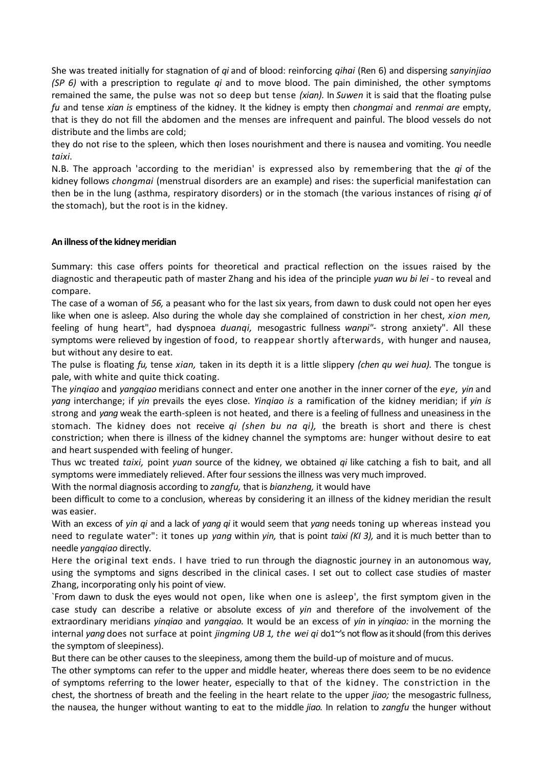She was treated initially for stagnation of *qi* and of blood: reinforcing *qihai* (Ren 6) and dispersing *sanyinjiao (SP 6)* with a prescription to regulate *qi* and to move blood. The pain diminished, the other symptoms remained the same, the pulse was not so deep but tense *(xian).* In *Suwen* it is said that the floating pulse *fu* and tense *xian is* emptiness of the kidney. It the kidney is empty then *chongmai* and *renmai are* empty, that is they do not fill the abdomen and the menses are infrequent and painful. The blood vessels do not distribute and the limbs are cold;

they do not rise to the spleen, which then loses nourishment and there is nausea and vomiting. You needle *taixi.*

N.B. The approach 'according to the meridian' is expressed also by remembering that the *qi* of the kidney follows *chongmai* (menstrual disorders are an example) and rises: the superficial manifestation can then be in the lung (asthma, respiratory disorders) or in the stomach (the various instances of rising *qi* of the stomach), but the root is in the kidney.

# **An illness of the kidney meridian**

Summary: this case offers points for theoretical and practical reflection on the issues raised by the diagnostic and therapeutic path of master Zhang and his idea of the principle *yuan wu bi lei -* to reveal and compare.

The case of a woman of *56,* a peasant who for the last six years, from dawn to dusk could not open her eyes like when one is asleep. Also during the whole day she complained of constriction in her chest, *xion men,*  feeling of hung heart", had dyspnoea *duanqi,* mesogastric fullness *wanpi"-* strong anxiety". All these symptoms were relieved by ingestion of food, to reappear shortly afterwards, with hunger and nausea, but without any desire to eat.

The pulse is floating *fu,* tense *xian,* taken in its depth it is a little slippery *(chen qu wei hua).* The tongue is pale, with white and quite thick coating.

The *yinqiao* and *yangqiao* meridians connect and enter one another in the inner corner of the *eye, yin* and *yang* interchange; if *yin* prevails the eyes close. *Yinqiao is* a ramification of the kidney meridian; if *yin is*  strong and *yang* weak the earth-spleen is not heated, and there is a feeling of fullness and uneasiness in the stomach. The kidney does not receive *qi (shen bu na qi),* the breath is short and there is chest constriction; when there is illness of the kidney channel the symptoms are: hunger without desire to eat and heart suspended with feeling of hunger.

Thus wc treated *taixi,* point *yuan* source of the kidney, we obtained *qi* like catching a fish to bait, and all symptoms were immediately relieved. After four sessions the illness was very much improved.

With the normal diagnosis according to *zangfu,* that is *bianzheng,* it would have

been difficult to come to a conclusion, whereas by considering it an illness of the kidney meridian the result was easier.

With an excess of *yin qi* and a lack of *yang qi* it would seem that *yang* needs toning up whereas instead you need to regulate water": it tones up *yang* within *yin,* that is point *taixi (KI 3),* and it is much better than to needle *yangqiao* directly.

Here the original text ends. I have tried to run through the diagnostic journey in an autonomous way, using the symptoms and signs described in the clinical cases. I set out to collect case studies of master Zhang, incorporating only his point of view.

`From dawn to dusk the eyes would not open, like when one is asleep', the first symptom given in the case study can describe a relative or absolute excess of *yin* and therefore of the involvement of the extraordinary meridians *yinqiao* and *yangqiao.* It would be an excess of *yin* in *yinqiao:* in the morning the internal *yang* does not surface at point *jingming UB 1, the wei qi* do1~'s not flow as it should (from this derives the symptom of sleepiness).

But there can be other causes to the sleepiness, among them the build-up of moisture and of mucus.

The other symptoms can refer to the upper and middle heater, whereas there does seem to be no evidence of symptoms referring to the lower heater, especially to that of the kidney. The constriction in the chest, the shortness of breath and the feeling in the heart relate to the upper *jiao;* the mesogastric fullness, the nausea, the hunger without wanting to eat to the middle *jiao.* In relation to *zangfu* the hunger without